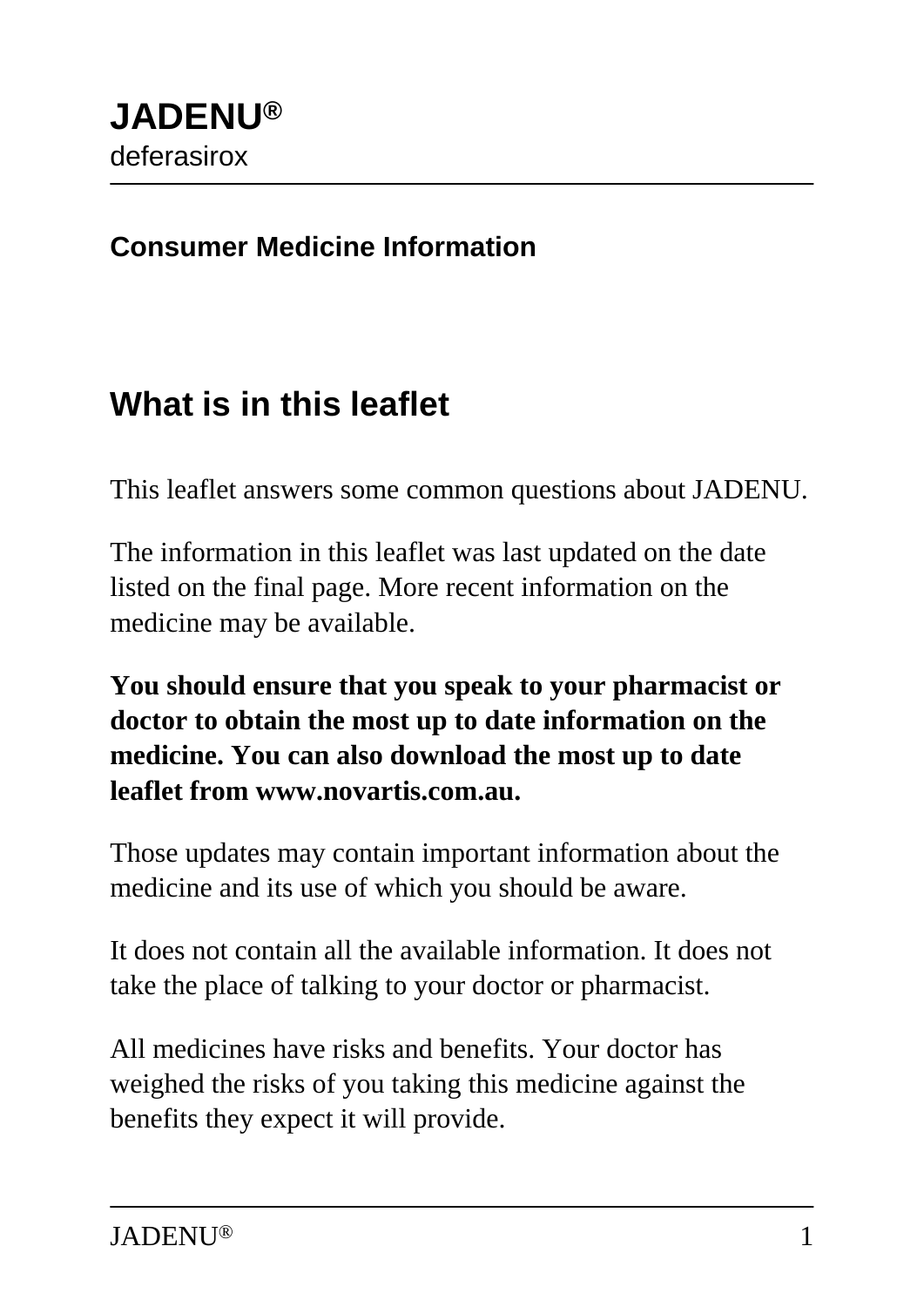#### **Consumer Medicine Information**

## **What is in this leaflet**

This leaflet answers some common questions about JADENU.

The information in this leaflet was last updated on the date listed on the final page. More recent information on the medicine may be available.

**You should ensure that you speak to your pharmacist or doctor to obtain the most up to date information on the medicine. You can also download the most up to date leaflet from www.novartis.com.au.**

Those updates may contain important information about the medicine and its use of which you should be aware.

It does not contain all the available information. It does not take the place of talking to your doctor or pharmacist.

All medicines have risks and benefits. Your doctor has weighed the risks of you taking this medicine against the benefits they expect it will provide.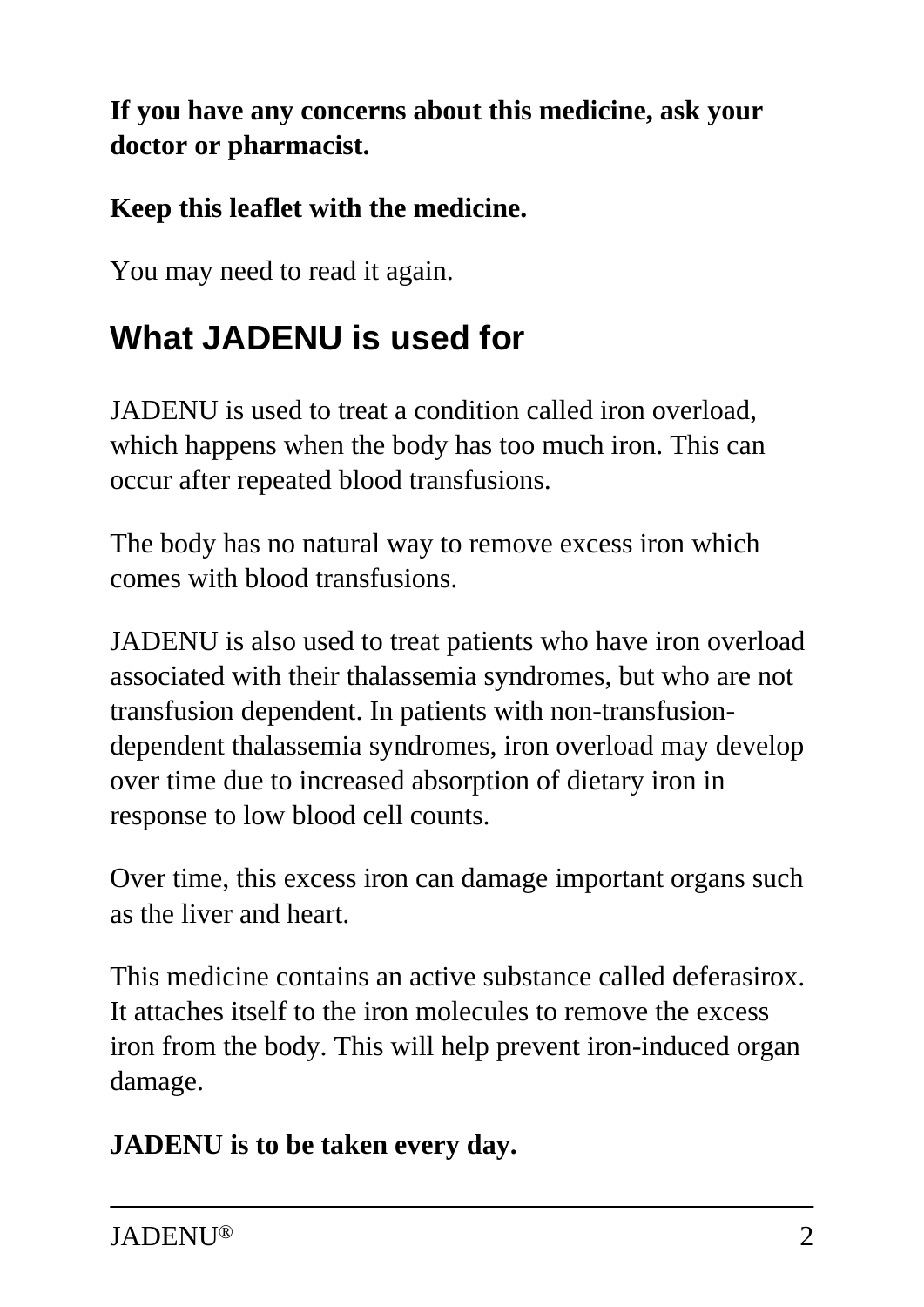**If you have any concerns about this medicine, ask your doctor or pharmacist.**

#### **Keep this leaflet with the medicine.**

You may need to read it again.

# **What JADENU is used for**

JADENU is used to treat a condition called iron overload, which happens when the body has too much iron. This can occur after repeated blood transfusions.

The body has no natural way to remove excess iron which comes with blood transfusions.

JADENU is also used to treat patients who have iron overload associated with their thalassemia syndromes, but who are not transfusion dependent. In patients with non-transfusiondependent thalassemia syndromes, iron overload may develop over time due to increased absorption of dietary iron in response to low blood cell counts.

Over time, this excess iron can damage important organs such as the liver and heart.

This medicine contains an active substance called deferasirox. It attaches itself to the iron molecules to remove the excess iron from the body. This will help prevent iron-induced organ damage.

#### **JADENU is to be taken every day.**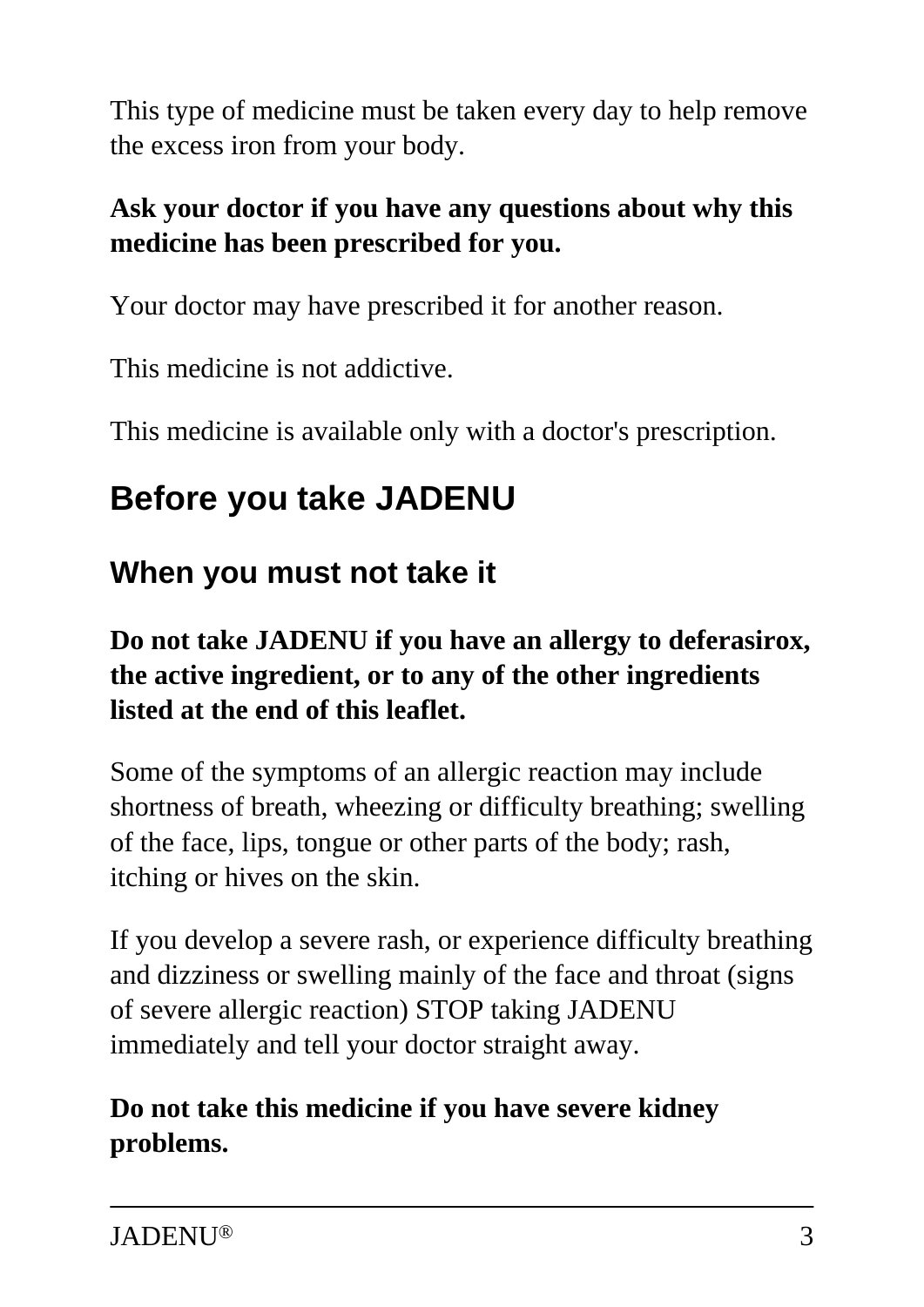This type of medicine must be taken every day to help remove the excess iron from your body.

#### **Ask your doctor if you have any questions about why this medicine has been prescribed for you.**

Your doctor may have prescribed it for another reason.

This medicine is not addictive.

This medicine is available only with a doctor's prescription.

# **Before you take JADENU**

### **When you must not take it**

#### **Do not take JADENU if you have an allergy to deferasirox, the active ingredient, or to any of the other ingredients listed at the end of this leaflet.**

Some of the symptoms of an allergic reaction may include shortness of breath, wheezing or difficulty breathing; swelling of the face, lips, tongue or other parts of the body; rash, itching or hives on the skin.

If you develop a severe rash, or experience difficulty breathing and dizziness or swelling mainly of the face and throat (signs of severe allergic reaction) STOP taking JADENU immediately and tell your doctor straight away.

#### **Do not take this medicine if you have severe kidney problems.**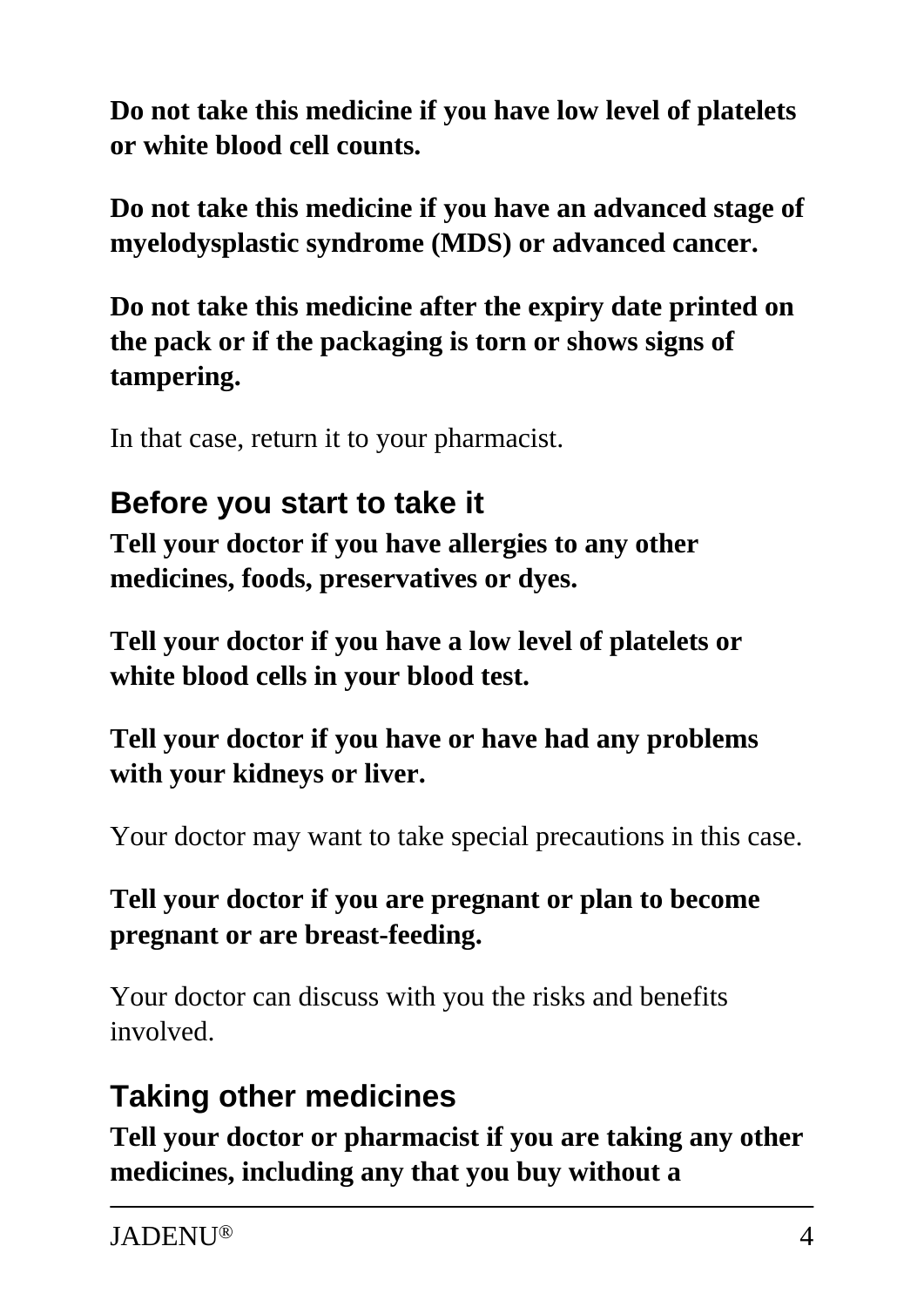**Do not take this medicine if you have low level of platelets or white blood cell counts.**

**Do not take this medicine if you have an advanced stage of myelodysplastic syndrome (MDS) or advanced cancer.**

**Do not take this medicine after the expiry date printed on the pack or if the packaging is torn or shows signs of tampering.**

In that case, return it to your pharmacist.

### **Before you start to take it**

**Tell your doctor if you have allergies to any other medicines, foods, preservatives or dyes.**

**Tell your doctor if you have a low level of platelets or white blood cells in your blood test.**

**Tell your doctor if you have or have had any problems with your kidneys or liver.**

Your doctor may want to take special precautions in this case.

#### **Tell your doctor if you are pregnant or plan to become pregnant or are breast-feeding.**

Your doctor can discuss with you the risks and benefits involved.

## **Taking other medicines**

**Tell your doctor or pharmacist if you are taking any other medicines, including any that you buy without a**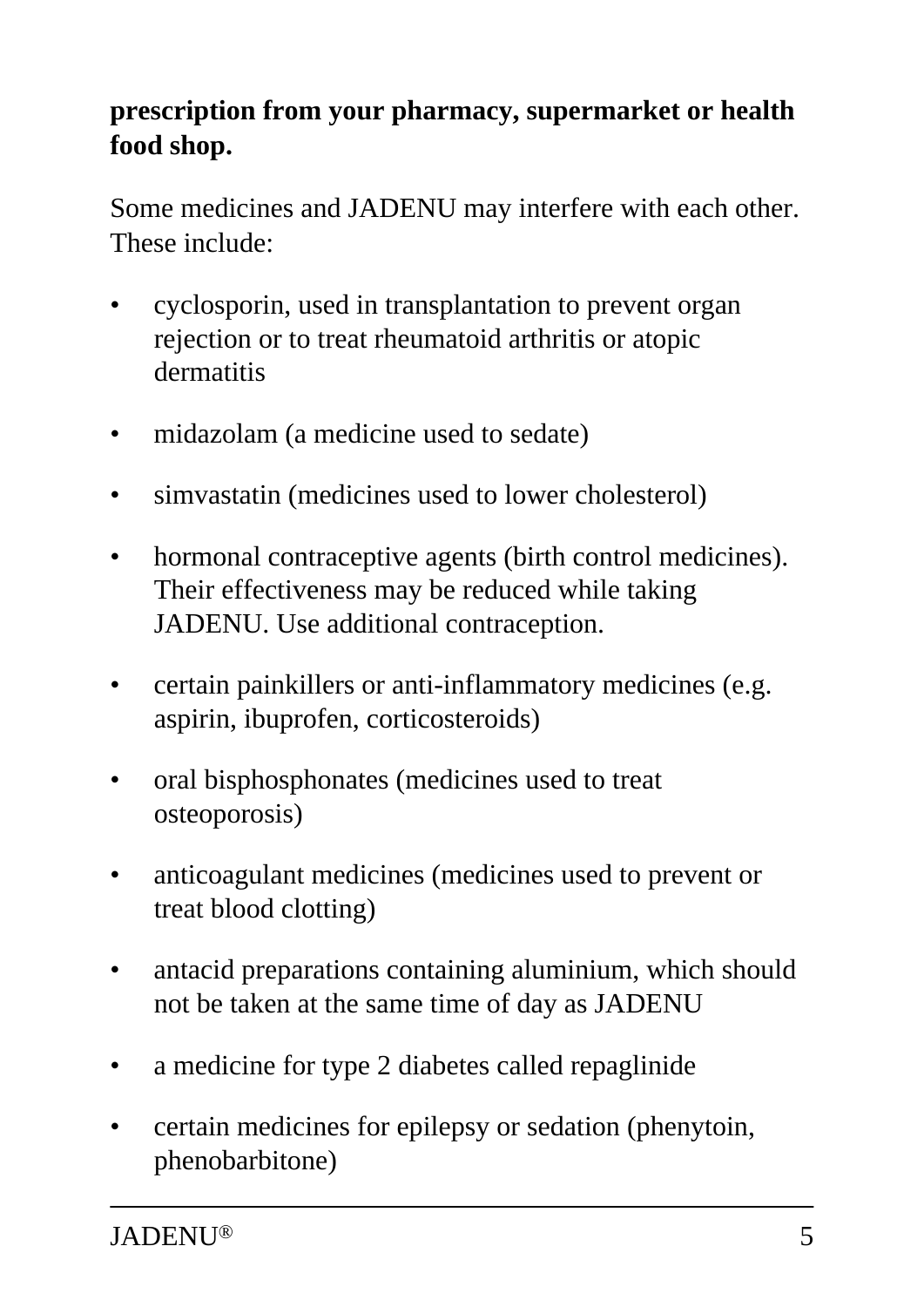#### **prescription from your pharmacy, supermarket or health food shop.**

Some medicines and JADENU may interfere with each other. These include:

- cyclosporin, used in transplantation to prevent organ rejection or to treat rheumatoid arthritis or atopic dermatitis
- midazolam (a medicine used to sedate)
- simvastatin (medicines used to lower cholesterol)
- hormonal contraceptive agents (birth control medicines). Their effectiveness may be reduced while taking JADENU. Use additional contraception.
- certain painkillers or anti-inflammatory medicines (e.g. aspirin, ibuprofen, corticosteroids)
- oral bisphosphonates (medicines used to treat osteoporosis)
- anticoagulant medicines (medicines used to prevent or treat blood clotting)
- antacid preparations containing aluminium, which should not be taken at the same time of day as JADENU
- a medicine for type 2 diabetes called repaglinide
- certain medicines for epilepsy or sedation (phenytoin, phenobarbitone)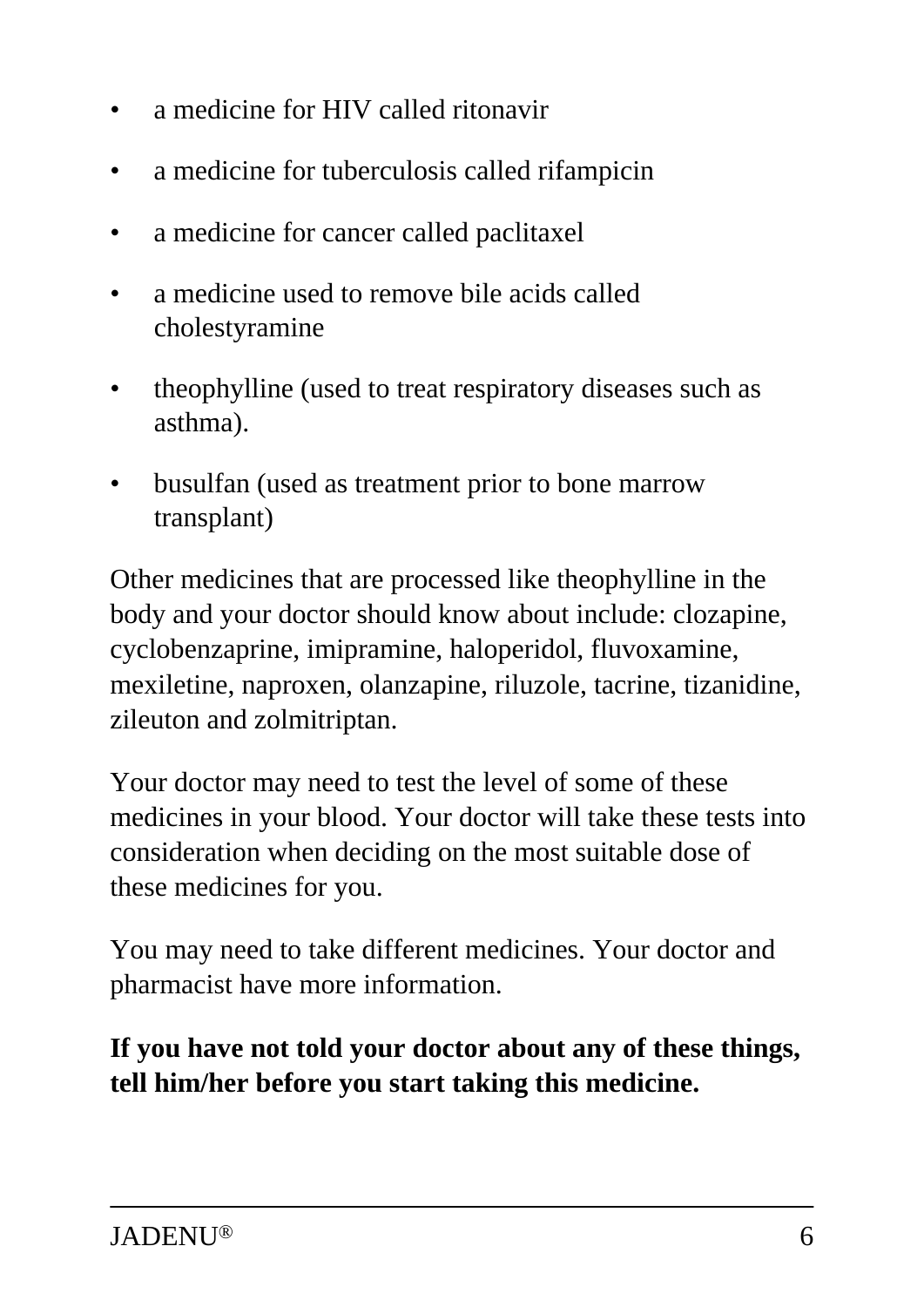- a medicine for HIV called ritonavir
- a medicine for tuberculosis called rifampicin
- a medicine for cancer called paclitaxel
- a medicine used to remove bile acids called cholestyramine
- theophylline (used to treat respiratory diseases such as asthma).
- busulfan (used as treatment prior to bone marrow transplant)

Other medicines that are processed like theophylline in the body and your doctor should know about include: clozapine, cyclobenzaprine, imipramine, haloperidol, fluvoxamine, mexiletine, naproxen, olanzapine, riluzole, tacrine, tizanidine, zileuton and zolmitriptan.

Your doctor may need to test the level of some of these medicines in your blood. Your doctor will take these tests into consideration when deciding on the most suitable dose of these medicines for you.

You may need to take different medicines. Your doctor and pharmacist have more information.

**If you have not told your doctor about any of these things, tell him/her before you start taking this medicine.**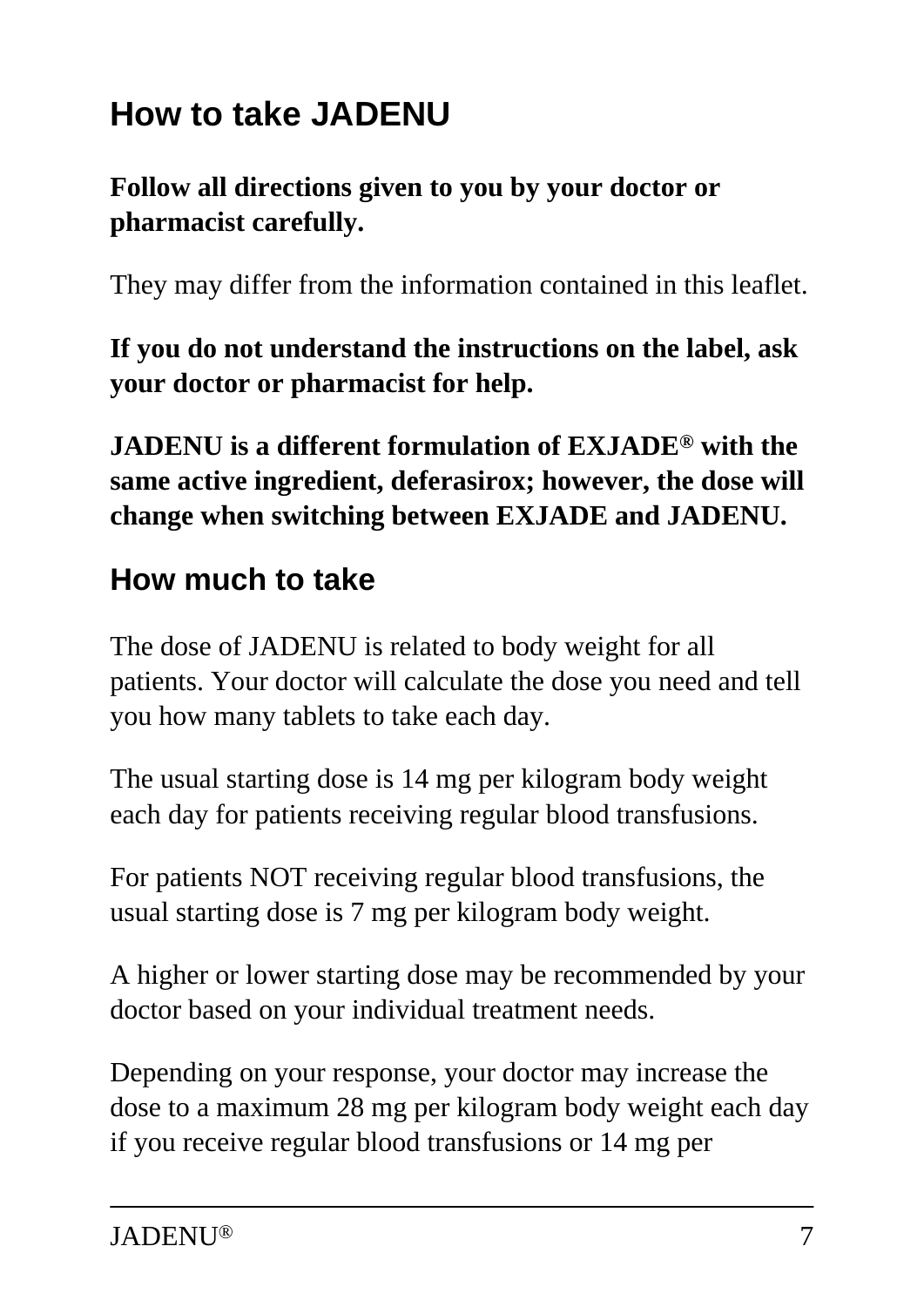# **How to take JADENU**

#### **Follow all directions given to you by your doctor or pharmacist carefully.**

They may differ from the information contained in this leaflet.

**If you do not understand the instructions on the label, ask your doctor or pharmacist for help.**

**JADENU is a different formulation of EXJADE® with the same active ingredient, deferasirox; however, the dose will change when switching between EXJADE and JADENU.**

## **How much to take**

The dose of JADENU is related to body weight for all patients. Your doctor will calculate the dose you need and tell you how many tablets to take each day.

The usual starting dose is 14 mg per kilogram body weight each day for patients receiving regular blood transfusions.

For patients NOT receiving regular blood transfusions, the usual starting dose is 7 mg per kilogram body weight.

A higher or lower starting dose may be recommended by your doctor based on your individual treatment needs.

Depending on your response, your doctor may increase the dose to a maximum 28 mg per kilogram body weight each day if you receive regular blood transfusions or 14 mg per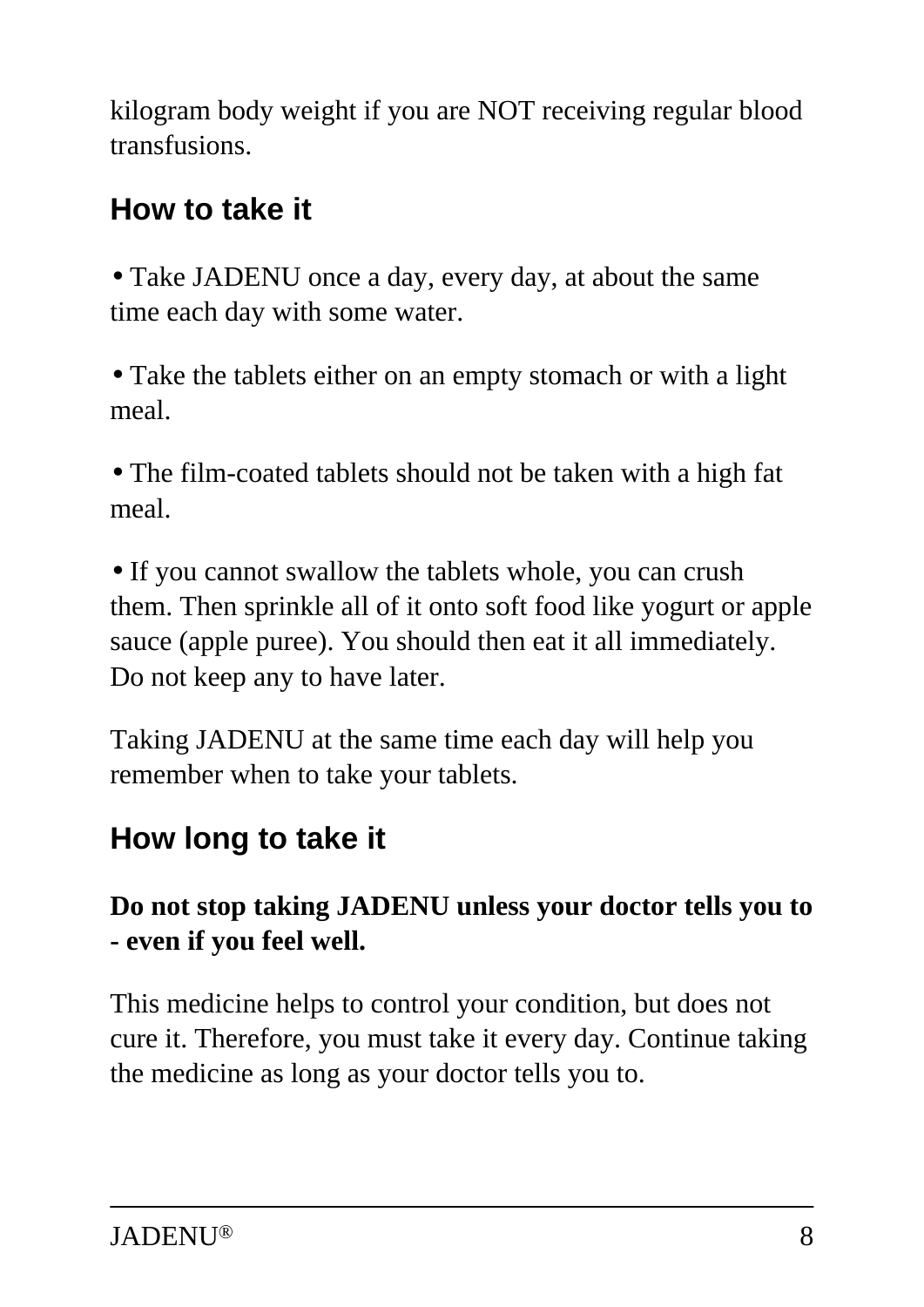kilogram body weight if you are NOT receiving regular blood transfusions.

## **How to take it**

• Take JADENU once a day, every day, at about the same time each day with some water.

• Take the tablets either on an empty stomach or with a light meal.

• The film-coated tablets should not be taken with a high fat meal.

• If you cannot swallow the tablets whole, you can crush them. Then sprinkle all of it onto soft food like yogurt or apple sauce (apple puree). You should then eat it all immediately. Do not keep any to have later.

Taking JADENU at the same time each day will help you remember when to take your tablets.

## **How long to take it**

#### **Do not stop taking JADENU unless your doctor tells you to - even if you feel well.**

This medicine helps to control your condition, but does not cure it. Therefore, you must take it every day. Continue taking the medicine as long as your doctor tells you to.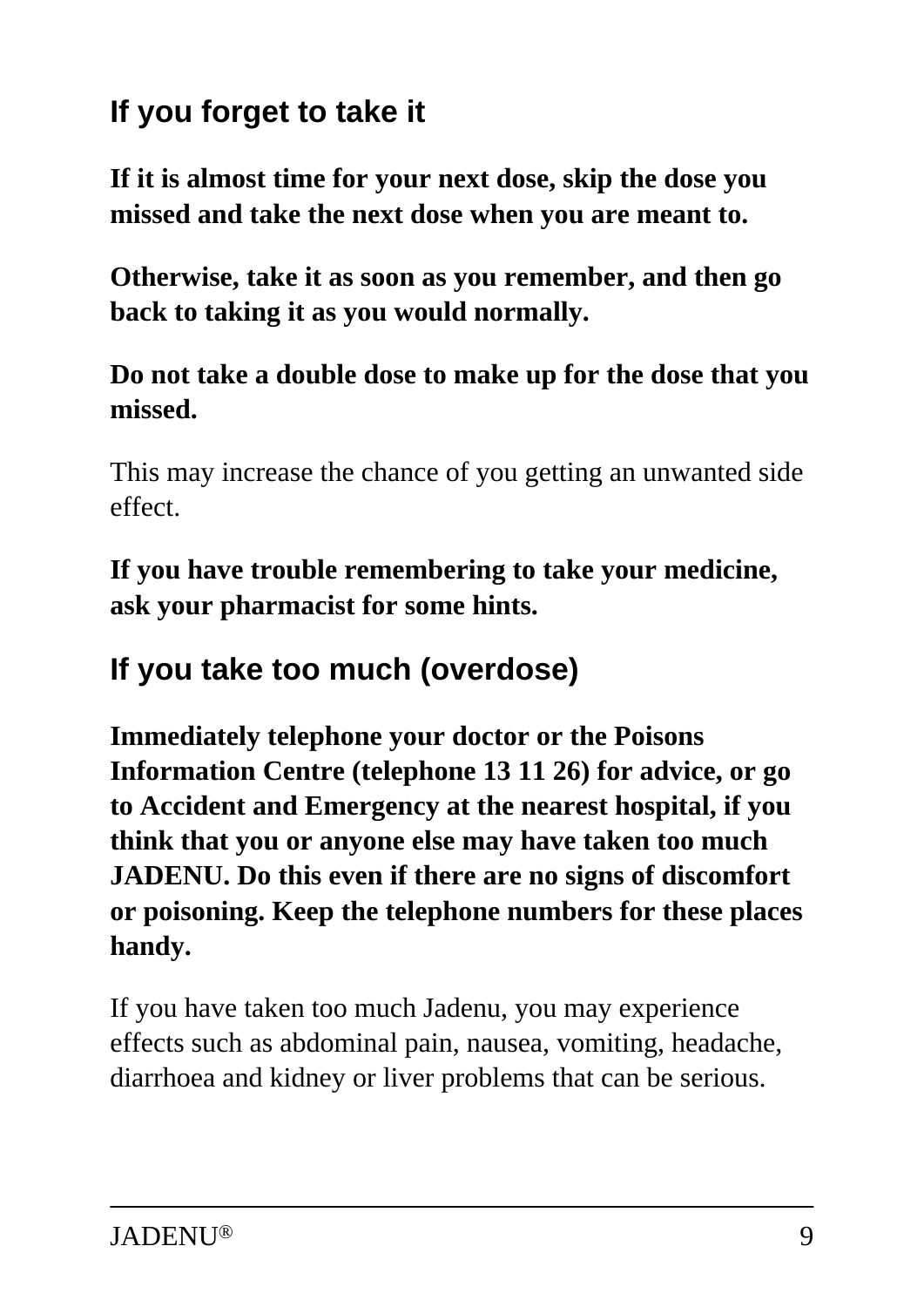## **If you forget to take it**

**If it is almost time for your next dose, skip the dose you missed and take the next dose when you are meant to.**

**Otherwise, take it as soon as you remember, and then go back to taking it as you would normally.**

#### **Do not take a double dose to make up for the dose that you missed.**

This may increase the chance of you getting an unwanted side effect.

**If you have trouble remembering to take your medicine, ask your pharmacist for some hints.**

### **If you take too much (overdose)**

**Immediately telephone your doctor or the Poisons Information Centre (telephone 13 11 26) for advice, or go to Accident and Emergency at the nearest hospital, if you think that you or anyone else may have taken too much JADENU. Do this even if there are no signs of discomfort or poisoning. Keep the telephone numbers for these places handy.**

If you have taken too much Jadenu, you may experience effects such as abdominal pain, nausea, vomiting, headache, diarrhoea and kidney or liver problems that can be serious.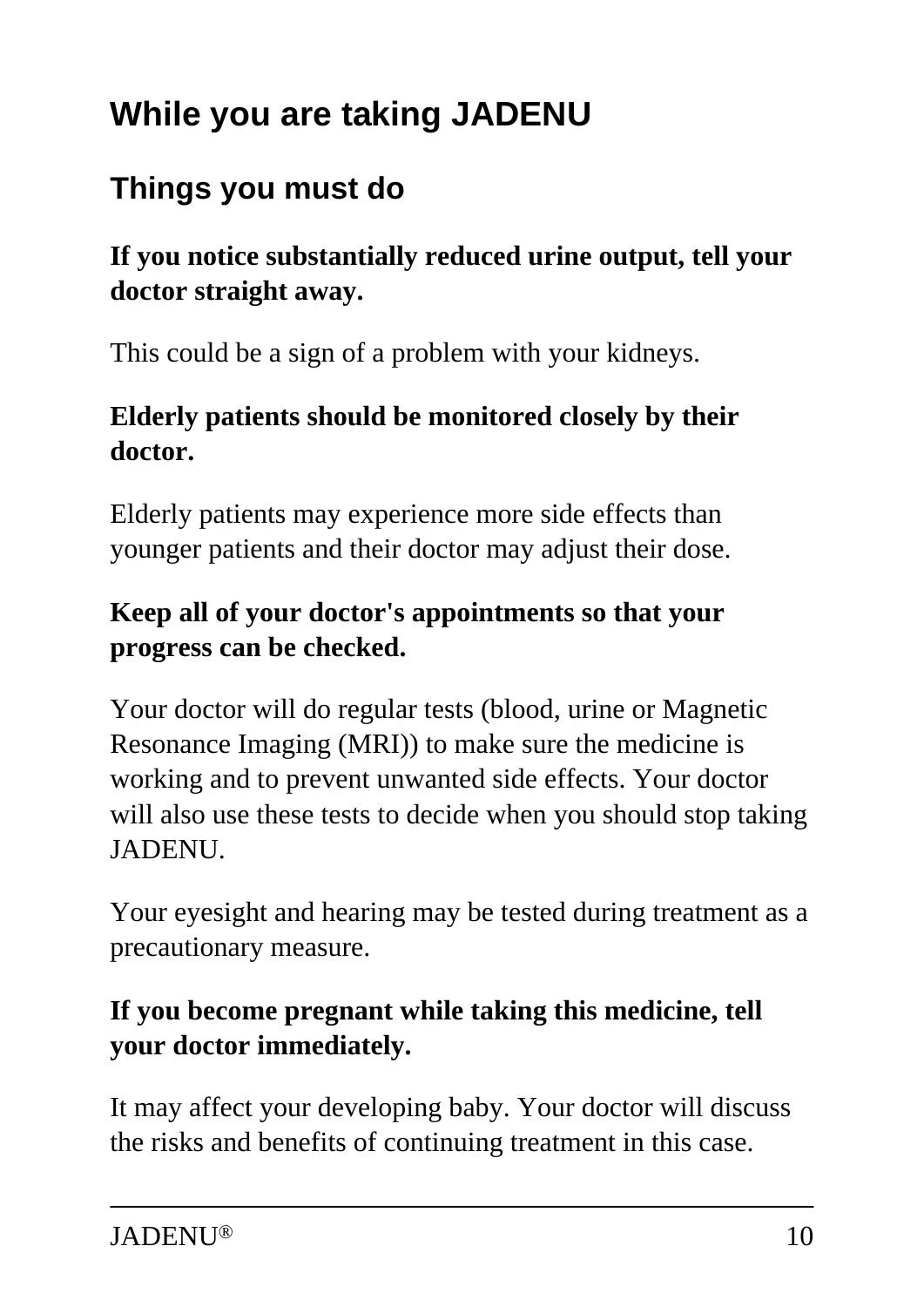# **While you are taking JADENU**

### **Things you must do**

#### **If you notice substantially reduced urine output, tell your doctor straight away.**

This could be a sign of a problem with your kidneys.

#### **Elderly patients should be monitored closely by their doctor.**

Elderly patients may experience more side effects than younger patients and their doctor may adjust their dose.

#### **Keep all of your doctor's appointments so that your progress can be checked.**

Your doctor will do regular tests (blood, urine or Magnetic Resonance Imaging (MRI)) to make sure the medicine is working and to prevent unwanted side effects. Your doctor will also use these tests to decide when you should stop taking JADENU.

Your eyesight and hearing may be tested during treatment as a precautionary measure.

#### **If you become pregnant while taking this medicine, tell your doctor immediately.**

It may affect your developing baby. Your doctor will discuss the risks and benefits of continuing treatment in this case.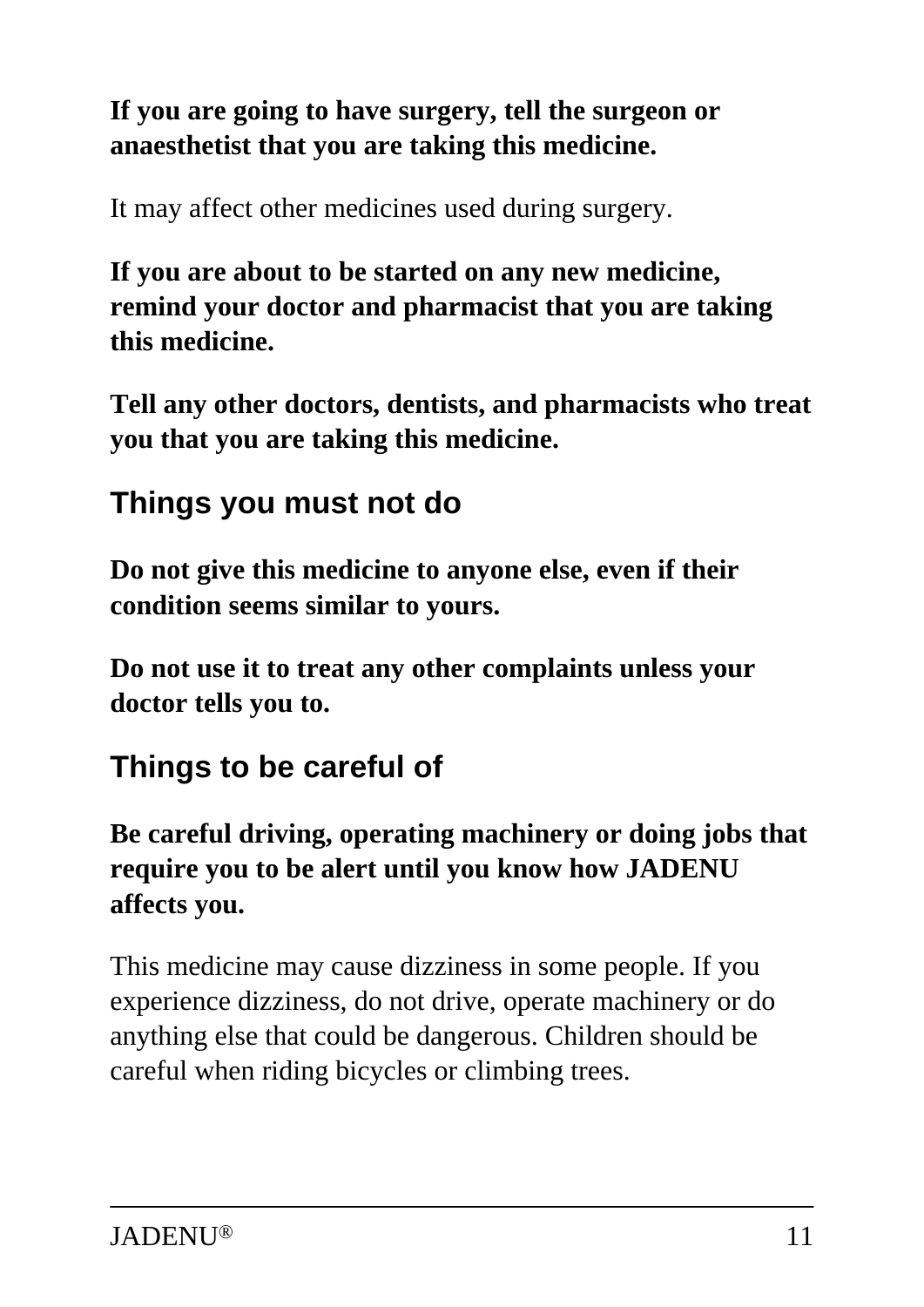#### **If you are going to have surgery, tell the surgeon or anaesthetist that you are taking this medicine.**

It may affect other medicines used during surgery.

**If you are about to be started on any new medicine, remind your doctor and pharmacist that you are taking this medicine.**

**Tell any other doctors, dentists, and pharmacists who treat you that you are taking this medicine.**

### **Things you must not do**

**Do not give this medicine to anyone else, even if their condition seems similar to yours.**

**Do not use it to treat any other complaints unless your doctor tells you to.**

### **Things to be careful of**

#### **Be careful driving, operating machinery or doing jobs that require you to be alert until you know how JADENU affects you.**

This medicine may cause dizziness in some people. If you experience dizziness, do not drive, operate machinery or do anything else that could be dangerous. Children should be careful when riding bicycles or climbing trees.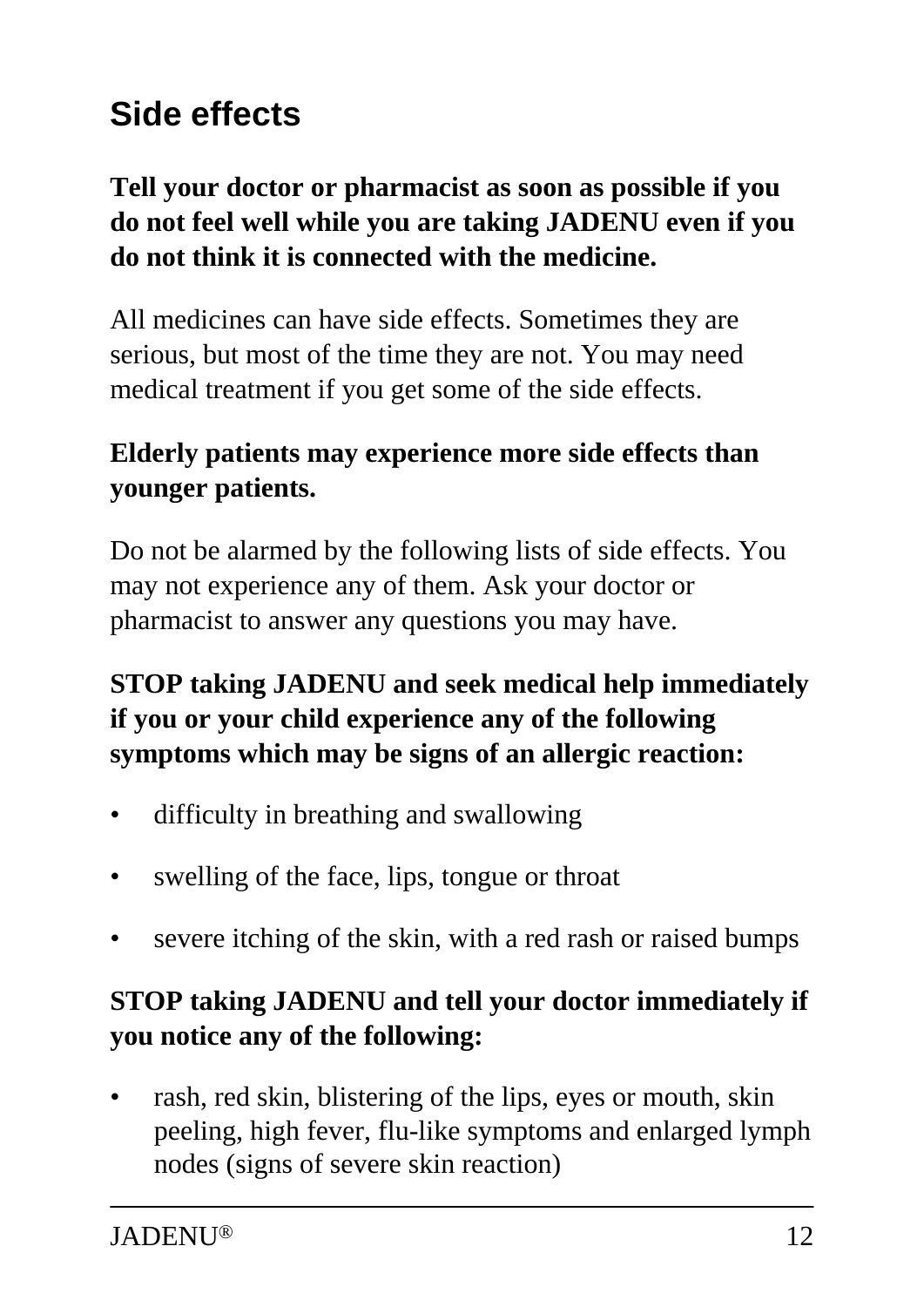# **Side effects**

#### **Tell your doctor or pharmacist as soon as possible if you do not feel well while you are taking JADENU even if you do not think it is connected with the medicine.**

All medicines can have side effects. Sometimes they are serious, but most of the time they are not. You may need medical treatment if you get some of the side effects.

#### **Elderly patients may experience more side effects than younger patients.**

Do not be alarmed by the following lists of side effects. You may not experience any of them. Ask your doctor or pharmacist to answer any questions you may have.

#### **STOP taking JADENU and seek medical help immediately if you or your child experience any of the following symptoms which may be signs of an allergic reaction:**

- difficulty in breathing and swallowing
- swelling of the face, lips, tongue or throat
- severe itching of the skin, with a red rash or raised bumps

#### **STOP taking JADENU and tell your doctor immediately if you notice any of the following:**

rash, red skin, blistering of the lips, eyes or mouth, skin peeling, high fever, flu-like symptoms and enlarged lymph nodes (signs of severe skin reaction)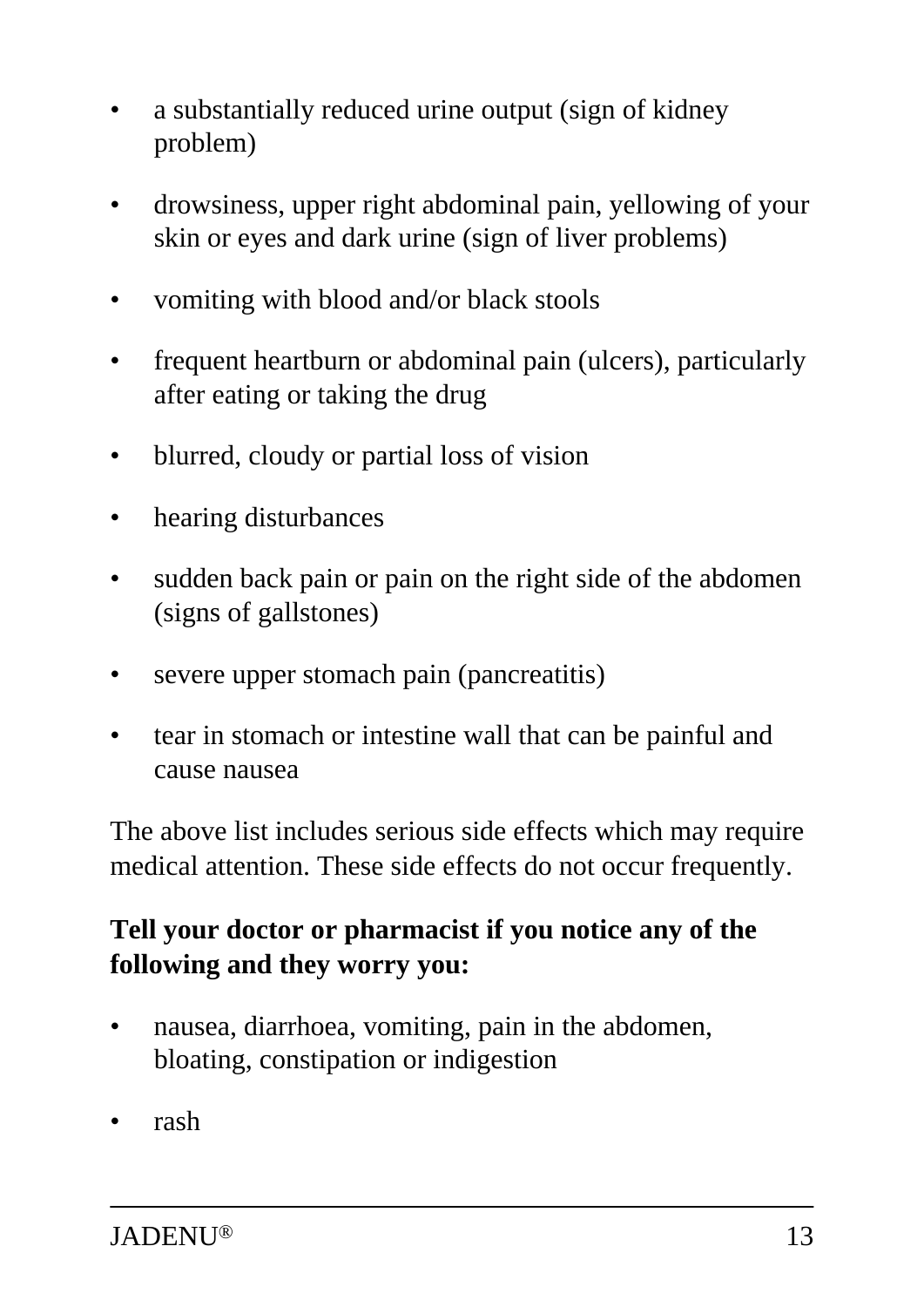- a substantially reduced urine output (sign of kidney problem)
- drowsiness, upper right abdominal pain, yellowing of your skin or eyes and dark urine (sign of liver problems)
- vomiting with blood and/or black stools
- frequent heartburn or abdominal pain (ulcers), particularly after eating or taking the drug
- blurred, cloudy or partial loss of vision
- hearing disturbances
- sudden back pain or pain on the right side of the abdomen (signs of gallstones)
- severe upper stomach pain (pancreatitis)
- tear in stomach or intestine wall that can be painful and cause nausea

The above list includes serious side effects which may require medical attention. These side effects do not occur frequently.

#### **Tell your doctor or pharmacist if you notice any of the following and they worry you:**

- nausea, diarrhoea, vomiting, pain in the abdomen, bloating, constipation or indigestion
- rash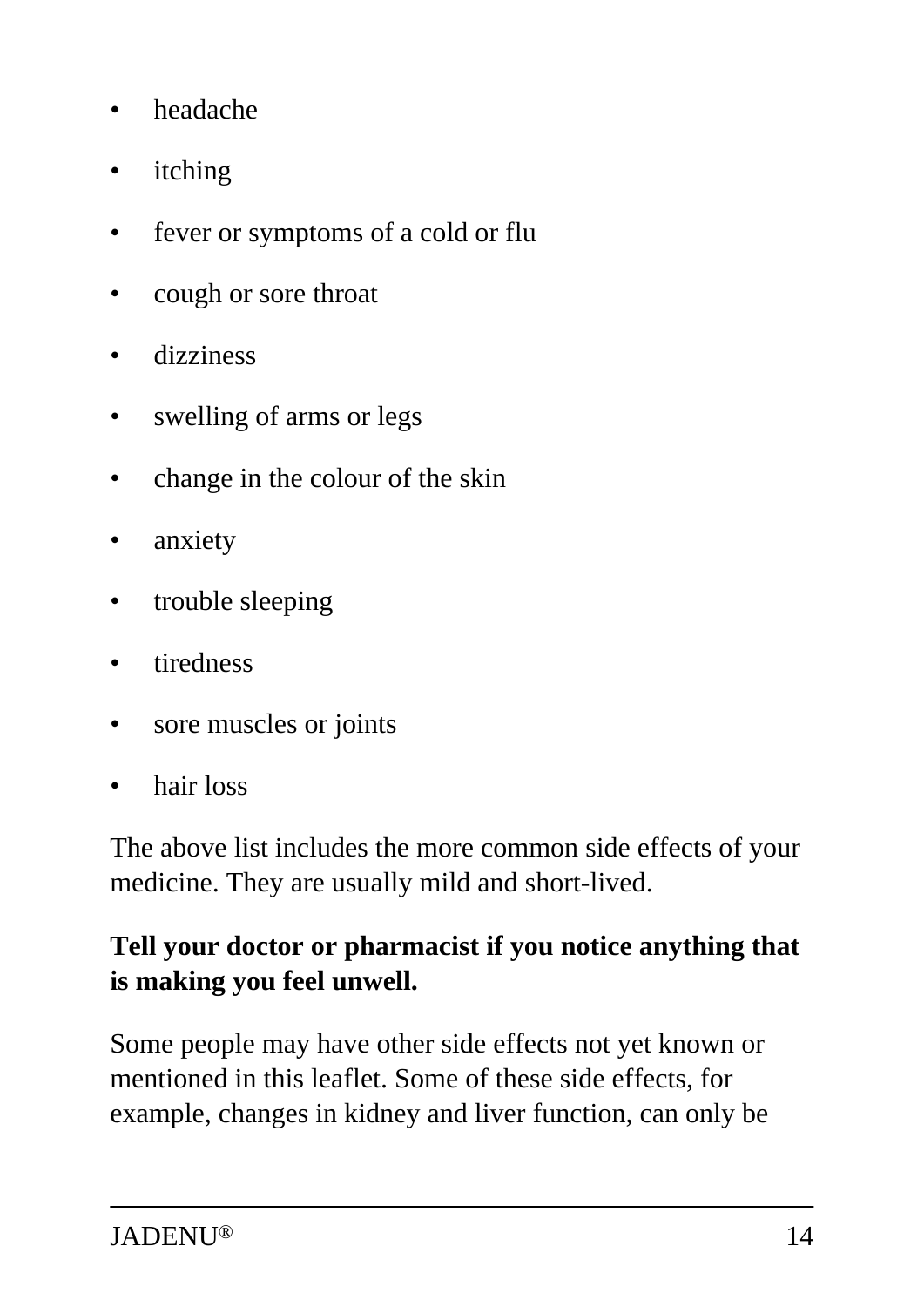- headache
- itching
- fever or symptoms of a cold or flu
- cough or sore throat
- dizziness
- swelling of arms or legs
- change in the colour of the skin
- anxiety
- trouble sleeping
- tiredness
- sore muscles or joints
- hair loss

The above list includes the more common side effects of your medicine. They are usually mild and short-lived.

#### **Tell your doctor or pharmacist if you notice anything that is making you feel unwell.**

Some people may have other side effects not yet known or mentioned in this leaflet. Some of these side effects, for example, changes in kidney and liver function, can only be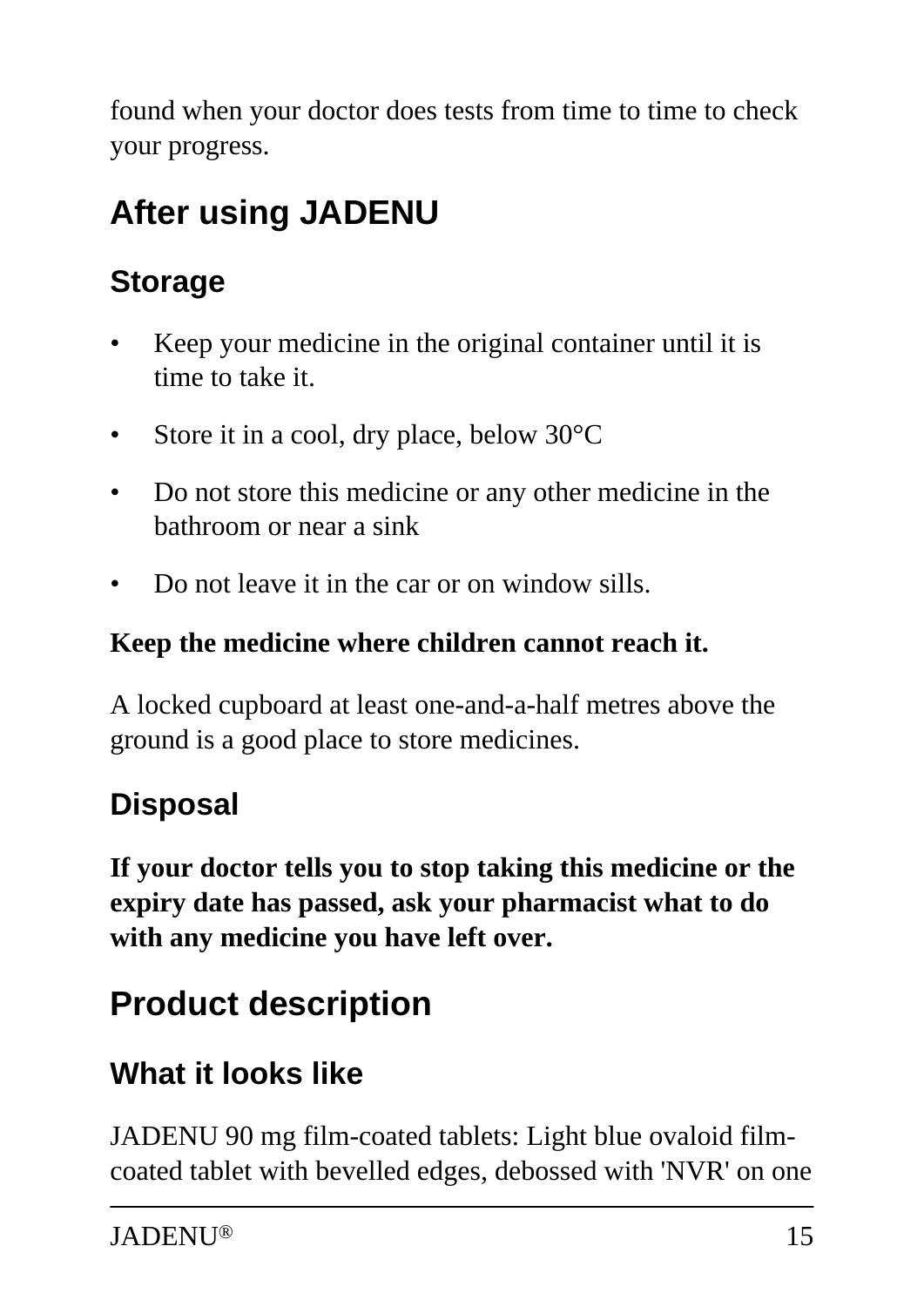found when your doctor does tests from time to time to check your progress.

# **After using JADENU**

# **Storage**

- Keep your medicine in the original container until it is time to take it.
- Store it in a cool, dry place, below 30°C
- Do not store this medicine or any other medicine in the bathroom or near a sink
- Do not leave it in the car or on window sills.

#### **Keep the medicine where children cannot reach it.**

A locked cupboard at least one-and-a-half metres above the ground is a good place to store medicines.

## **Disposal**

**If your doctor tells you to stop taking this medicine or the expiry date has passed, ask your pharmacist what to do with any medicine you have left over.**

# **Product description**

## **What it looks like**

JADENU 90 mg film-coated tablets: Light blue ovaloid filmcoated tablet with bevelled edges, debossed with 'NVR' on one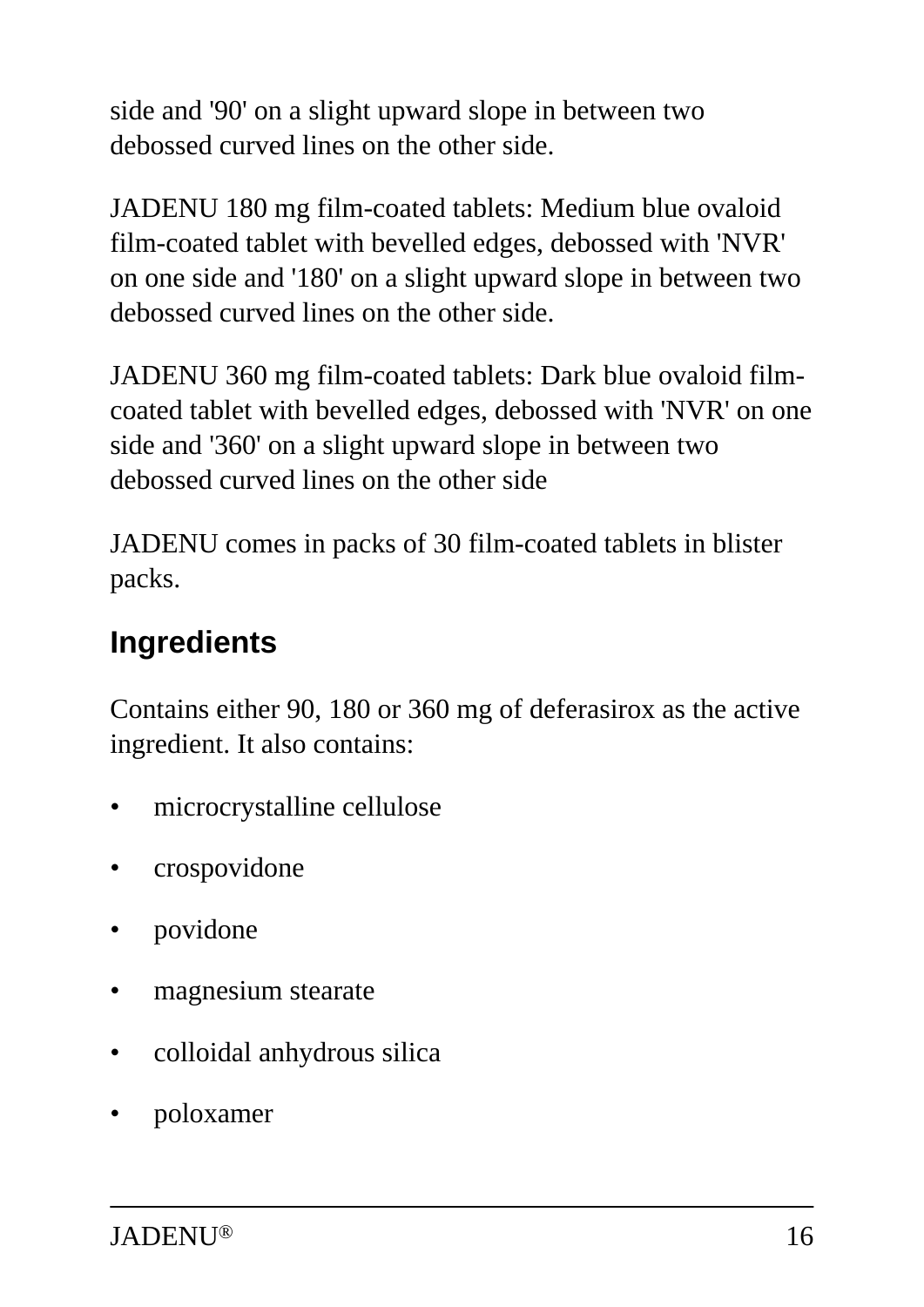side and '90' on a slight upward slope in between two debossed curved lines on the other side.

JADENU 180 mg film-coated tablets: Medium blue ovaloid film-coated tablet with bevelled edges, debossed with 'NVR' on one side and '180' on a slight upward slope in between two debossed curved lines on the other side.

JADENU 360 mg film-coated tablets: Dark blue ovaloid filmcoated tablet with bevelled edges, debossed with 'NVR' on one side and '360' on a slight upward slope in between two debossed curved lines on the other side

JADENU comes in packs of 30 film-coated tablets in blister packs.

## **Ingredients**

Contains either 90, 180 or 360 mg of deferasirox as the active ingredient. It also contains:

- microcrystalline cellulose
- crospovidone
- povidone
- magnesium stearate
- colloidal anhydrous silica
- poloxamer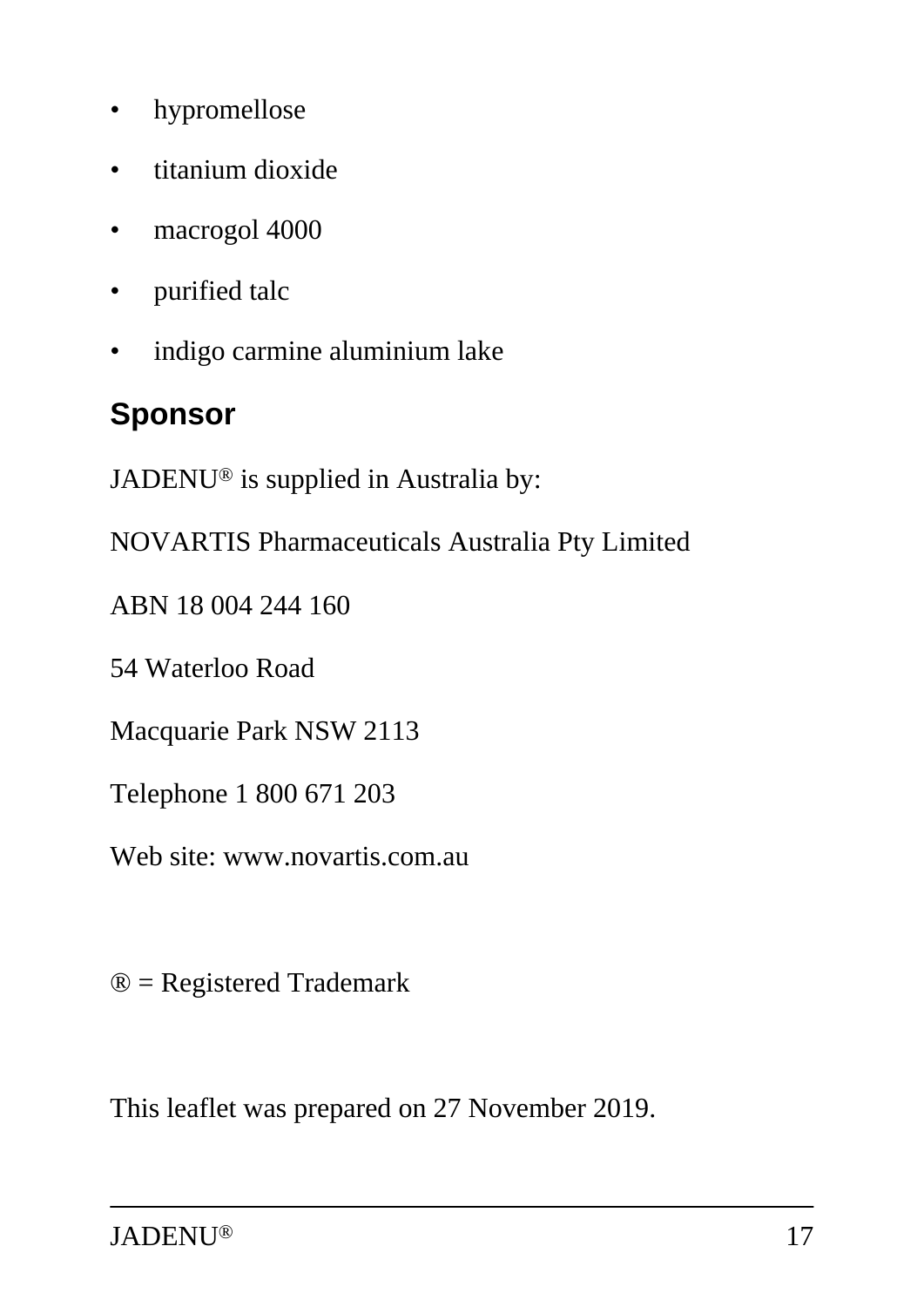- hypromellose
- titanium dioxide
- macrogol 4000
- purified talc
- indigo carmine aluminium lake

#### **Sponsor**

JADENU® is supplied in Australia by:

NOVARTIS Pharmaceuticals Australia Pty Limited

ABN 18 004 244 160

54 Waterloo Road

Macquarie Park NSW 2113

Telephone 1 800 671 203

Web site: www.novartis.com.au

® = Registered Trademark

This leaflet was prepared on 27 November 2019.